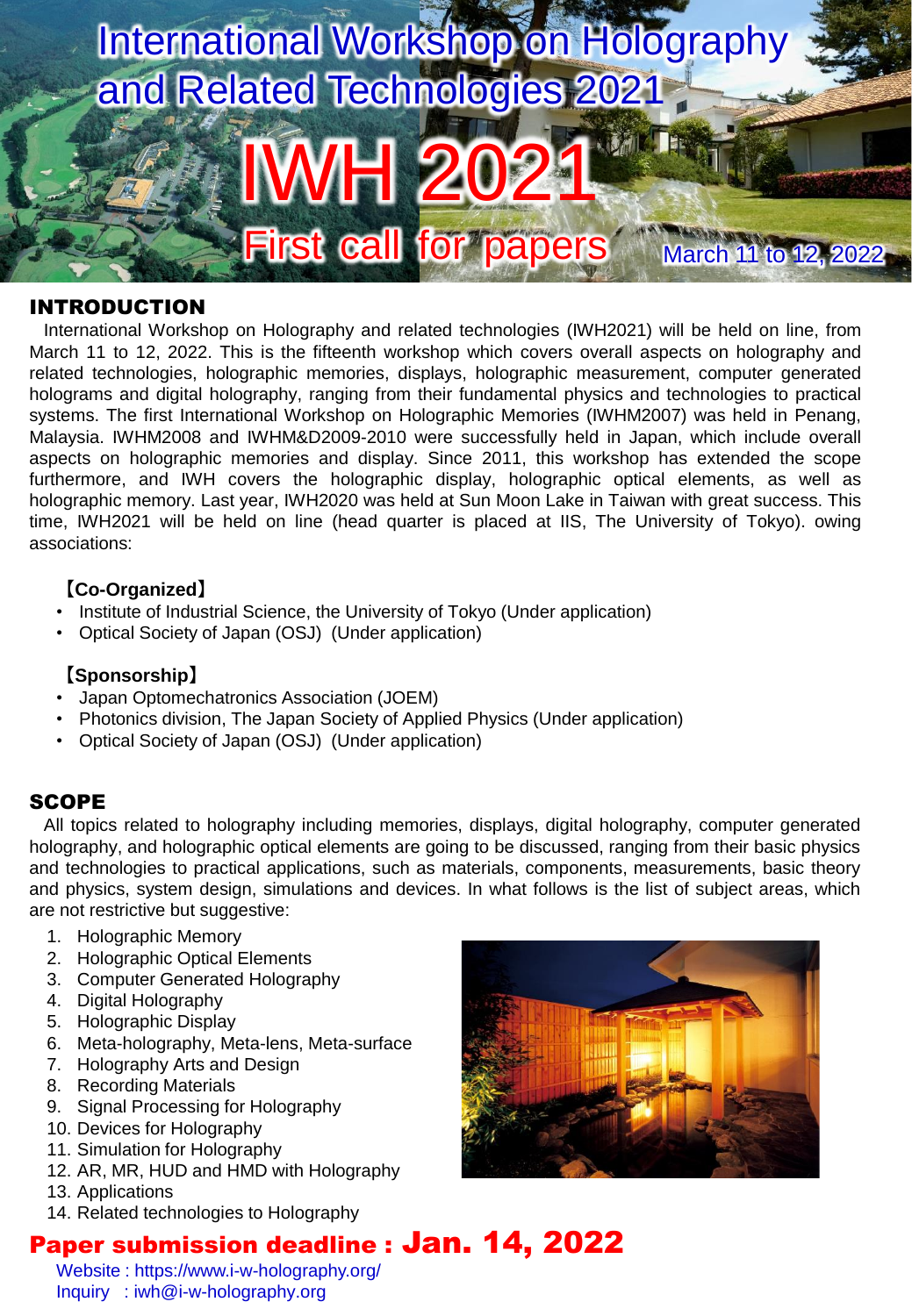

### INTRODUCTION

International Workshop on Holography and related technologies (IWH2021) will be held on line, from March 11 to 12, 2022. This is the fifteenth workshop which covers overall aspects on holography and related technologies, holographic memories, displays, holographic measurement, computer generated holograms and digital holography, ranging from their fundamental physics and technologies to practical systems. The first International Workshop on Holographic Memories (IWHM2007) was held in Penang, Malaysia. IWHM2008 and IWHM&D2009-2010 were successfully held in Japan, which include overall aspects on holographic memories and display. Since 2011, this workshop has extended the scope furthermore, and IWH covers the holographic display, holographic optical elements, as well as holographic memory. Last year, IWH2020 was held at Sun Moon Lake in Taiwan with great success. This time, IWH2021 will be held on line (head quarter is placed at IIS, The University of Tokyo). owing associations:

# **【Co-Organized】**

- Institute of Industrial Science, the University of Tokyo (Under application)
- Optical Society of Japan (OSJ) (Under application)

# **【Sponsorship】**

- Japan Optomechatronics Association (JOEM)
- Photonics division, The Japan Society of Applied Physics (Under application)
- Optical Society of Japan (OSJ) (Under application)

# SCOPE

All topics related to holography including memories, displays, digital holography, computer generated holography, and holographic optical elements are going to be discussed, ranging from their basic physics and technologies to practical applications, such as materials, components, measurements, basic theory and physics, system design, simulations and devices. In what follows is the list of subject areas, which are not restrictive but suggestive:

- 1. Holographic Memory
- 2. Holographic Optical Elements
- 3. Computer Generated Holography
- 4. Digital Holography
- 5. Holographic Display
- 6. Meta-holography, Meta-lens, Meta-surface
- 7. Holography Arts and Design
- 8. Recording Materials
- 9. Signal Processing for Holography
- 10. Devices for Holography
- 11. Simulation for Holography
- 12. AR, MR, HUD and HMD with Holography
- 13. Applications
- 14. Related technologies to Holography

# Paper submission deadline : Jan. 14, 2022

Website : https://www.i-w-holography.org/ Inquiry : iwh@i-w-holography.org